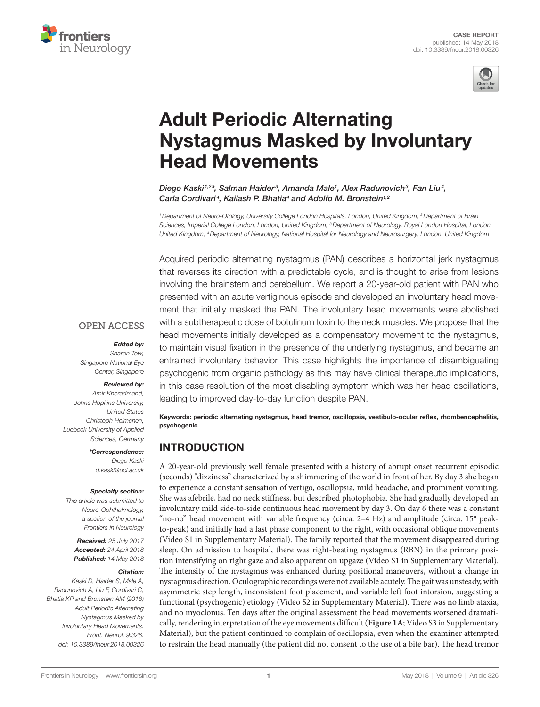



# [Adult Periodic Alternating](https://www.frontiersin.org/Journal/10.3389/fneur.2018.00326/full)  [Nystagmus Masked by Involuntary](https://www.frontiersin.org/Journal/10.3389/fneur.2018.00326/full)  [Head Movements](https://www.frontiersin.org/Journal/10.3389/fneur.2018.00326/full)

*[Diego Kaski1](https://loop.frontiersin.org/people/165638),2\*, Salman Haider <sup>3</sup> , Amanda Male1 , Alex Radunovich3 , Fan Liu4 , Carla Cordivari <sup>4</sup> , [Kailash P. Bhatia](https://loop.frontiersin.org/people/389816)4 and [Adolfo M. Bronstein1](https://loop.frontiersin.org/people/15435),2*

*1Department of Neuro-Otology, University College London Hospitals, London, United Kingdom, 2Department of Brain Sciences, Imperial College London, London, United Kingdom, 3Department of Neurology, Royal London Hospital, London, United Kingdom, 4Department of Neurology, National Hospital for Neurology and Neurosurgery, London, United Kingdom*

Acquired periodic alternating nystagmus (PAN) describes a horizontal jerk nystagmus that reverses its direction with a predictable cycle, and is thought to arise from lesions involving the brainstem and cerebellum. We report a 20-year-old patient with PAN who presented with an acute vertiginous episode and developed an involuntary head movement that initially masked the PAN. The involuntary head movements were abolished with a subtherapeutic dose of botulinum toxin to the neck muscles. We propose that the head movements initially developed as a compensatory movement to the nystagmus, to maintain visual fixation in the presence of the underlying nystagmus, and became an entrained involuntary behavior. This case highlights the importance of disambiguating psychogenic from organic pathology as this may have clinical therapeutic implications, in this case resolution of the most disabling symptom which was her head oscillations, leading to improved day-to-day function despite PAN.

Keywords: periodic alternating nystagmus, head tremor, oscillopsia, vestibulo-ocular reflex, rhombencephalitis, psychogenic

## INTRODUCTION

A 20-year-old previously well female presented with a history of abrupt onset recurrent episodic (seconds) "dizziness" characterized by a shimmering of the world in front of her. By day 3 she began to experience a constant sensation of vertigo, oscillopsia, mild headache, and prominent vomiting. She was afebrile, had no neck stiffness, but described photophobia. She had gradually developed an involuntary mild side-to-side continuous head movement by day 3. On day 6 there was a constant "no-no" head movement with variable frequency (circa. 2–4 Hz) and amplitude (circa. 15° peakto-peak) and initially had a fast phase component to the right, with occasional oblique movements (Video S1 in Supplementary Material). The family reported that the movement disappeared during sleep. On admission to hospital, there was right-beating nystagmus (RBN) in the primary position intensifying on right gaze and also apparent on upgaze (Video S1 in Supplementary Material). The intensity of the nystagmus was enhanced during positional maneuvers, without a change in nystagmus direction. Oculographic recordings were not available acutely. The gait was unsteady, with asymmetric step length, inconsistent foot placement, and variable left foot intorsion, suggesting a functional (psychogenic) etiology (Video S2 in Supplementary Material). There was no limb ataxia, and no myoclonus. Ten days after the original assessment the head movements worsened dramatically, rendering interpretation of the eye movements difficult (**[Figure 1A](#page-1-0)**; Video S3 in Supplementary Material), but the patient continued to complain of oscillopsia, even when the examiner attempted to restrain the head manually (the patient did not consent to the use of a bite bar). The head tremor

#### **OPEN ACCESS**

#### *Edited by:*

*Sharon Tow, Singapore National Eye Center, Singapore*

#### *Reviewed by:*

*Amir Kheradmand, Johns Hopkins University, United States Christoph Helmchen, Luebeck University of Applied Sciences, Germany*

> *\*Correspondence: Diego Kaski [d.kaski@ucl.ac.uk](mailto:d.kaski@ucl.ac.uk)*

#### *Specialty section:*

*This article was submitted to Neuro-Ophthalmology, a section of the journal Frontiers in Neurology*

*Received: 25 July 2017 Accepted: 24 April 2018 Published: 14 May 2018*

#### *Citation:*

*Kaski D, Haider S, Male A, Radunovich A, Liu F, Cordivari C, Bhatia KP and Bronstein AM (2018) Adult Periodic Alternating Nystagmus Masked by Involuntary Head Movements. Front. Neurol. 9:326. doi: [10.3389/fneur.2018.00326](https://doi.org/10.3389/fneur.2018.00326)*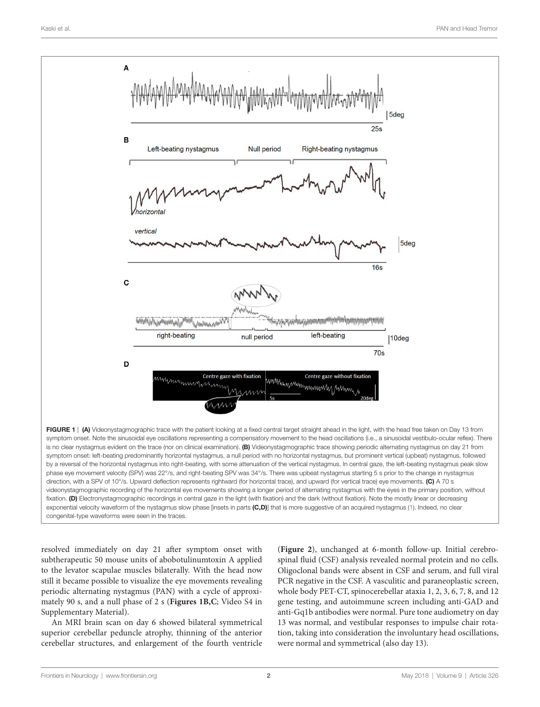

resolved immediately on day 21 after symptom onset with subtherapeutic 50 mouse units of abobotulinumtoxin A applied to the levator scapulae muscles bilaterally. With the head now still it became possible to visualize the eye movements revealing periodic alternating nystagmus (PAN) with a cycle of approximately 90 s, and a null phase of 2 s (**[Figures 1B,C](#page-1-0)**; Video S4 in Supplementary Material).

An MRI brain scan on day 6 showed bilateral symmetrical superior cerebellar peduncle atrophy, thinning of the anterior cerebellar structures, and enlargement of the fourth ventricle

<span id="page-1-0"></span>(**[Figure 2](#page-2-0)**), unchanged at 6-month follow-up. Initial cerebrospinal fluid (CSF) analysis revealed normal protein and no cells. Oligoclonal bands were absent in CSF and serum, and full viral PCR negative in the CSF. A vasculitic and paraneoplastic screen, whole body PET-CT, spinocerebellar ataxia 1, 2, 3, 6, 7, 8, and 12 gene testing, and autoimmune screen including anti-GAD and anti-Gq1b antibodies were normal. Pure tone audiometry on day 13 was normal, and vestibular responses to impulse chair rotation, taking into consideration the involuntary head oscillations, were normal and symmetrical (also day 13).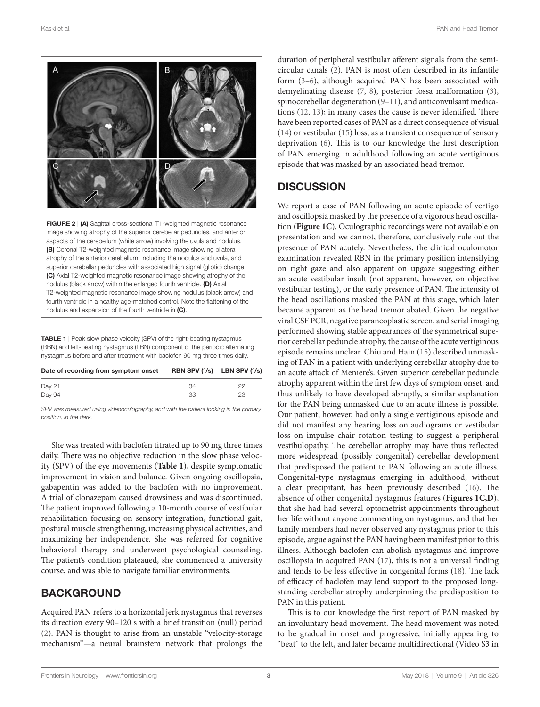

<span id="page-2-0"></span>aspects of the cerebellum (white arrow) involving the uvula and nodulus. (B) Coronal T2-weighted magnetic resonance image showing bilateral atrophy of the anterior cerebellum, including the nodulus and uvula, and superior cerebellar peduncles with associated high signal (gliotic) change. (C) Axial T2-weighted magnetic resonance image showing atrophy of the nodulus (black arrow) within the enlarged fourth ventricle. (D) Axial T2-weighted magnetic resonance image showing nodulus (black arrow) and fourth ventricle in a healthy age-matched control. Note the flattening of the nodulus and expansion of the fourth ventricle in (C).

<span id="page-2-1"></span>TABLE 1 | Peak slow phase velocity (SPV) of the right-beating nystagmus (RBN) and left-beating nystagmus (LBN) component of the periodic alternating nystagmus before and after treatment with baclofen 90 mg three times daily.

| 34 | 22                                            |
|----|-----------------------------------------------|
| 33 | 23                                            |
|    | RBN SPV $(^{\circ}/s)$ LBN SPV $(^{\circ}/s)$ |

*SPV was measured using videooculography, and with the patient looking in the primary position, in the dark.*

She was treated with baclofen titrated up to 90 mg three times daily. There was no objective reduction in the slow phase velocity (SPV) of the eye movements (**[Table 1](#page-2-1)**), despite symptomatic improvement in vision and balance. Given ongoing oscillopsia, gabapentin was added to the baclofen with no improvement. A trial of clonazepam caused drowsiness and was discontinued. The patient improved following a 10-month course of vestibular rehabilitation focusing on sensory integration, functional gait, postural muscle strengthening, increasing physical activities, and maximizing her independence. She was referred for cognitive behavioral therapy and underwent psychological counseling. The patient's condition plateaued, she commenced a university course, and was able to navigate familiar environments.

## **BACKGROUND**

Acquired PAN refers to a horizontal jerk nystagmus that reverses its direction every 90–120 s with a brief transition (null) period ([2](#page-3-1)). PAN is thought to arise from an unstable "velocity-storage mechanism"—a neural brainstem network that prolongs the duration of peripheral vestibular afferent signals from the semicircular canals ([2](#page-3-1)). PAN is most often described in its infantile form [\(3–](#page-3-2)[6](#page-3-3)), although acquired PAN has been associated with demyelinating disease [\(7,](#page-3-4) [8\)](#page-3-5), posterior fossa malformation [\(3](#page-3-2)), spinocerebellar degeneration ([9](#page-3-6)[–11](#page-4-0)), and anticonvulsant medications ([12,](#page-4-1) [13\)](#page-4-2); in many cases the cause is never identified. There have been reported cases of PAN as a direct consequence of visual [\(14](#page-4-3)) or vestibular [\(15\)](#page-4-4) loss, as a transient consequence of sensory deprivation ([6](#page-3-3)). This is to our knowledge the first description of PAN emerging in adulthood following an acute vertiginous episode that was masked by an associated head tremor.

## **DISCUSSION**

We report a case of PAN following an acute episode of vertigo and oscillopsia masked by the presence of a vigorous head oscillation (**[Figure 1C](#page-1-0)**). Oculographic recordings were not available on presentation and we cannot, therefore, conclusively rule out the presence of PAN acutely. Nevertheless, the clinical oculomotor examination revealed RBN in the primary position intensifying on right gaze and also apparent on upgaze suggesting either an acute vestibular insult (not apparent, however, on objective vestibular testing), or the early presence of PAN. The intensity of the head oscillations masked the PAN at this stage, which later became apparent as the head tremor abated. Given the negative viral CSF PCR, negative paraneoplastic screen, and serial imaging performed showing stable appearances of the symmetrical superior cerebellar peduncle atrophy, the cause of the acute vertiginous episode remains unclear. Chiu and Hain [\(15](#page-4-4)) described unmasking of PAN in a patient with underlying cerebellar atrophy due to an acute attack of Meniere's. Given superior cerebellar peduncle atrophy apparent within the first few days of symptom onset, and thus unlikely to have developed abruptly, a similar explanation for the PAN being unmasked due to an acute illness is possible. Our patient, however, had only a single vertiginous episode and did not manifest any hearing loss on audiograms or vestibular loss on impulse chair rotation testing to suggest a peripheral vestibulopathy. The cerebellar atrophy may have thus reflected more widespread (possibly congenital) cerebellar development that predisposed the patient to PAN following an acute illness. Congenital-type nystagmus emerging in adulthood, without a clear precipitant, has been previously described [\(16](#page-4-5)). The absence of other congenital nystagmus features (**[Figures 1C,D](#page-1-0)**), that she had had several optometrist appointments throughout her life without anyone commenting on nystagmus, and that her family members had never observed any nystagmus prior to this episode, argue against the PAN having been manifest prior to this illness. Although baclofen can abolish nystagmus and improve oscillopsia in acquired PAN [\(17\)](#page-4-6), this is not a universal finding and tends to be less effective in congenital forms [\(18](#page-4-7)). The lack of efficacy of baclofen may lend support to the proposed longstanding cerebellar atrophy underpinning the predisposition to PAN in this patient.

This is to our knowledge the first report of PAN masked by an involuntary head movement. The head movement was noted to be gradual in onset and progressive, initially appearing to "beat" to the left, and later became multidirectional (Video S3 in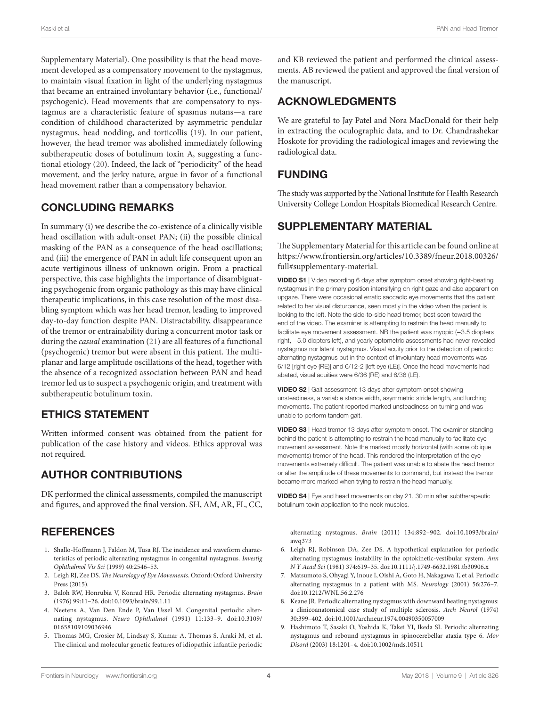Supplementary Material). One possibility is that the head movement developed as a compensatory movement to the nystagmus, to maintain visual fixation in light of the underlying nystagmus that became an entrained involuntary behavior (i.e., functional/ psychogenic). Head movements that are compensatory to nystagmus are a characteristic feature of spasmus nutans—a rare condition of childhood characterized by asymmetric pendular nystagmus, head nodding, and torticollis [\(19](#page-4-8)). In our patient, however, the head tremor was abolished immediately following subtherapeutic doses of botulinum toxin A, suggesting a functional etiology ([20](#page-4-9)). Indeed, the lack of "periodicity" of the head movement, and the jerky nature, argue in favor of a functional head movement rather than a compensatory behavior.

#### CONCLUDING REMARKS

In summary (i) we describe the co-existence of a clinically visible head oscillation with adult-onset PAN; (ii) the possible clinical masking of the PAN as a consequence of the head oscillations; and (iii) the emergence of PAN in adult life consequent upon an acute vertiginous illness of unknown origin. From a practical perspective, this case highlights the importance of disambiguating psychogenic from organic pathology as this may have clinical therapeutic implications, in this case resolution of the most disabling symptom which was her head tremor, leading to improved day-to-day function despite PAN. Distractability, disappearance of the tremor or entrainability during a concurrent motor task or during the *casual* examination ([21\)](#page-4-10) are all features of a functional (psychogenic) tremor but were absent in this patient. The multiplanar and large amplitude oscillations of the head, together with the absence of a recognized association between PAN and head tremor led us to suspect a psychogenic origin, and treatment with subtherapeutic botulinum toxin.

#### ETHICS STATEMENT

Written informed consent was obtained from the patient for publication of the case history and videos. Ethics approval was not required.

# AUTHOR CONTRIBUTIONS

DK performed the clinical assessments, compiled the manuscript and figures, and approved the final version. SH, AM, AR, FL, CC,

# **REFERENCES**

- <span id="page-3-0"></span>1. Shallo-Hoffmann J, Faldon M, Tusa RJ. The incidence and waveform characteristics of periodic alternating nystagmus in congenital nystagmus. *Investig Ophthalmol Vis Sci* (1999) 40:2546–53.
- <span id="page-3-1"></span>2. Leigh RJ, Zee DS. *The Neurology of Eye Movements*. Oxford: Oxford University Press (2015).
- <span id="page-3-2"></span>3. Baloh RW, Honrubia V, Konrad HR. Periodic alternating nystagmus. *Brain* (1976) 99:11–26. doi:[10.1093/brain/99.1.11](https://doi.org/10.1093/brain/99.1.11)
- 4. Neetens A, Van Den Ende P, Van Ussel M. Congenital periodic alternating nystagmus. *Neuro Ophthalmol* (1991) 11:133–9. doi[:10.3109/](https://doi.org/10.3109/
01658109109036946) [01658109109036946](https://doi.org/10.3109/
01658109109036946)
- 5. Thomas MG, Crosier M, Lindsay S, Kumar A, Thomas S, Araki M, et al. The clinical and molecular genetic features of idiopathic infantile periodic

and KB reviewed the patient and performed the clinical assessments. AB reviewed the patient and approved the final version of the manuscript.

## ACKNOWLEDGMENTS

We are grateful to Jay Patel and Nora MacDonald for their help in extracting the oculographic data, and to Dr. Chandrashekar Hoskote for providing the radiological images and reviewing the radiological data.

## FUNDING

The study was supported by the National Institute for Health Research University College London Hospitals Biomedical Research Centre.

## SUPPLEMENTARY MATERIAL

The Supplementary Material for this article can be found online at [https://www.frontiersin.org/articles/10.3389/fneur.2018.00326/](https://www.frontiersin.org/articles/10.3389/fneur.2018.00326/full#supplementary-material) [full#supplementary-material.](https://www.frontiersin.org/articles/10.3389/fneur.2018.00326/full#supplementary-material)

VIDEO S1 | Video recording 6 days after symptom onset showing right-beating nystagmus in the primary position intensifying on right gaze and also apparent on upgaze. There were occasional erratic saccadic eye movements that the patient related to her visual disturbance, seen mostly in the video when the patient is looking to the left. Note the side-to-side head tremor, best seen toward the end of the video. The examiner is attempting to restrain the head manually to facilitate eye movement assessment. NB the patient was myopic (−3.5 diopters right, −5.0 diopters left), and yearly optometric assessments had never revealed nystagmus nor latent nystagmus. Visual acuity prior to the detection of periodic alternating nystagmus but in the context of involuntary head movements was 6/12 [right eye (RE)] and 6/12-2 [left eye (LE)]. Once the head movements had abated, visual acuities were 6/36 (RE) and 6/36 (LE).

VIDEO S2 | Gait assessment 13 days after symptom onset showing unsteadiness, a variable stance width, asymmetric stride length, and lurching movements. The patient reported marked unsteadiness on turning and was unable to perform tandem gait.

VIDEO S3 | Head tremor 13 days after symptom onset. The examiner standing behind the patient is attempting to restrain the head manually to facilitate eye movement assessment. Note the marked mostly horizontal (with some oblique movements) tremor of the head. This rendered the interpretation of the eye movements extremely difficult. The patient was unable to abate the head tremor or alter the amplitude of these movements to command, but instead the tremor became more marked when trying to restrain the head manually.

VIDEO S4 | Eye and head movements on day 21, 30 min after subtherapeutic botulinum toxin application to the neck muscles.

alternating nystagmus. *Brain* (2011) 134:892–902. doi:[10.1093/brain/](https://doi.org/10.1093/brain/awq373) [awq373](https://doi.org/10.1093/brain/awq373) 

- <span id="page-3-3"></span>6. Leigh RJ, Robinson DA, Zee DS. A hypothetical explanation for periodic alternating nystagmus: instability in the optokinetic-vestibular system. *Ann N Y Acad Sci* (1981) 374:619–35. doi:[10.1111/j.1749-6632.1981.tb30906.x](https://doi.org/10.1111/j.1749-6632.1981.tb30906.x)
- <span id="page-3-4"></span>7. Matsumoto S, Ohyagi Y, Inoue I, Oishi A, Goto H, Nakagawa T, et al. Periodic alternating nystagmus in a patient with MS. *Neurology* (2001) 56:276–7. doi:[10.1212/WNL.56.2.276](https://doi.org/10.1212/WNL.56.2.276)
- <span id="page-3-5"></span>8. Keane JR. Periodic alternating nystagmus with downward beating nystagmus: a clinicoanatomical case study of multiple sclerosis. *Arch Neurol* (1974) 30:399–402. doi[:10.1001/archneur.1974.00490350057009](https://doi.org/10.1001/archneur.1974.00490350057009)
- <span id="page-3-6"></span>9. Hashimoto T, Sasaki O, Yoshida K, Takei YI, Ikeda SI. Periodic alternating nystagmus and rebound nystagmus in spinocerebellar ataxia type 6. *Mov Disord* (2003) 18:1201–4. doi:[10.1002/mds.10511](https://doi.org/10.1002/mds.10511)